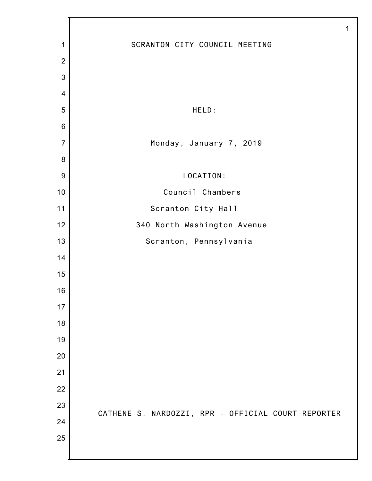|                |                                                    | 1 |
|----------------|----------------------------------------------------|---|
| 1              | SCRANTON CITY COUNCIL MEETING                      |   |
| $\overline{2}$ |                                                    |   |
| 3              |                                                    |   |
| 4              |                                                    |   |
| 5              | HELD:                                              |   |
| $\,6$          |                                                    |   |
| $\overline{7}$ | Monday, January 7, 2019                            |   |
| 8              |                                                    |   |
| 9              | LOCATION:                                          |   |
| 10             | Council Chambers                                   |   |
| 11             | Scranton City Hall                                 |   |
| 12             | 340 North Washington Avenue                        |   |
| 13             | Scranton, Pennsylvania                             |   |
| 14             |                                                    |   |
| 15             |                                                    |   |
| 16             |                                                    |   |
| 17             |                                                    |   |
| 18             |                                                    |   |
| 19             |                                                    |   |
| 20             |                                                    |   |
| 21             |                                                    |   |
| 22             |                                                    |   |
| 23             | CATHENE S. NARDOZZI, RPR - OFFICIAL COURT REPORTER |   |
| 24             |                                                    |   |
| 25             |                                                    |   |
|                |                                                    |   |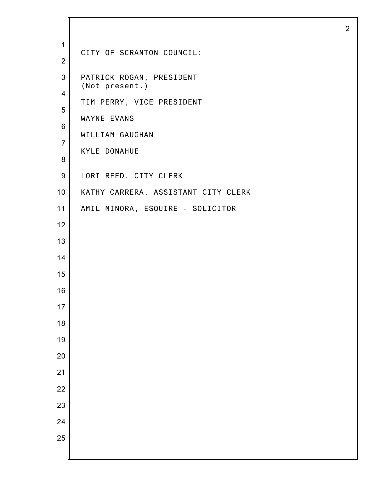| 1                             | CITY OF SCRANTON COUNCIL:                  |
|-------------------------------|--------------------------------------------|
| $\overline{2}$                |                                            |
| 3                             | PATRICK ROGAN, PRESIDENT<br>(Not present.) |
| 4                             | TIM PERRY, VICE PRESIDENT                  |
| 5                             | WAYNE EVANS                                |
| $\,$ 6 $\,$<br>$\overline{7}$ | WILLIAM GAUGHAN                            |
| 8                             | <b>KYLE DONAHUE</b>                        |
| $\boldsymbol{9}$              | LORI REED, CITY CLERK                      |
| 10                            | KATHY CARRERA, ASSISTANT CITY CLERK        |
| 11                            | AMIL MINORA, ESQUIRE - SOLICITOR           |
| 12                            |                                            |
| 13                            |                                            |
| 14                            |                                            |
| 15                            |                                            |
| 16                            |                                            |
| 17                            |                                            |
| 18                            |                                            |
| 19                            |                                            |
| 20                            |                                            |
| $\overline{21}$               |                                            |
| 22                            |                                            |
| 23                            |                                            |
| 24                            |                                            |
| 25                            |                                            |
|                               |                                            |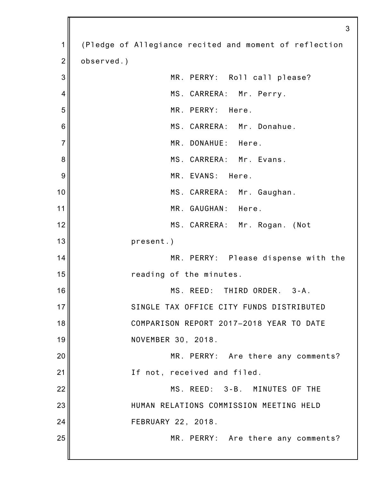1 2 3 4 5 6 7 8 9 10 11 12 13 14 15 16 17 18 19 20 21 22 23 24 25 3 (Pledge of Allegiance recited and moment of reflection observed.) MR. PERRY: Roll call please? MS. CARRERA: Mr. Perry. MR. PERRY: Here. MS. CARRERA: Mr. Donahue. MR. DONAHUE: Here. MS. CARRERA: Mr. Evans. MR. EVANS: Here. MS. CARRERA: Mr. Gaughan. MR. GAUGHAN: Here. MS. CARRERA: Mr. Rogan. (Not present.) MR. PERRY: Please dispense with the reading of the minutes. MS. REED: THIRD ORDER. 3-A. SINGLE TAX OFFICE CITY FUNDS DISTRIBUTED COMPARISON REPORT 2017–2018 YEAR TO DATE NOVEMBER 30, 2018. MR. PERRY: Are there any comments? If not, received and filed. MS. REED: 3-B. MINUTES OF THE HUMAN RELATIONS COMMISSION MEETING HELD FEBRUARY 22, 2018. MR. PERRY: Are there any comments?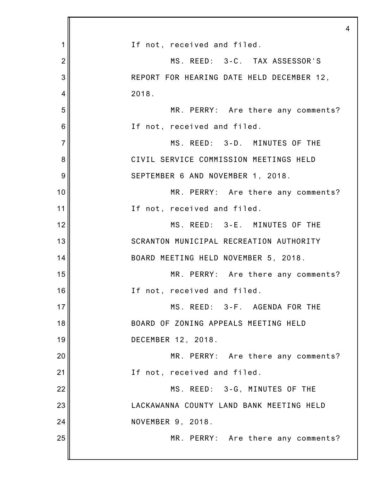|                | $\overline{4}$                            |
|----------------|-------------------------------------------|
| 1              | If not, received and filed.               |
| $\overline{2}$ | MS. REED: 3-C. TAX ASSESSOR'S             |
| 3              | REPORT FOR HEARING DATE HELD DECEMBER 12, |
| 4              | 2018.                                     |
| 5              | MR. PERRY: Are there any comments?        |
| 6              | If not, received and filed.               |
| $\overline{7}$ | MS. REED: 3-D. MINUTES OF THE             |
| 8              | CIVIL SERVICE COMMISSION MEETINGS HELD    |
| 9              | SEPTEMBER 6 AND NOVEMBER 1, 2018.         |
| 10             | MR. PERRY: Are there any comments?        |
| 11             | If not, received and filed.               |
| 12             | MS. REED: 3-E. MINUTES OF THE             |
| 13             | SCRANTON MUNICIPAL RECREATION AUTHORITY   |
| 14             | BOARD MEETING HELD NOVEMBER 5, 2018.      |
| 15             | MR. PERRY: Are there any comments?        |
| 16             | If not, received and filed.               |
| 17             | MS. REED: 3-F. AGENDA FOR THE             |
| 18             | BOARD OF ZONING APPEALS MEETING HELD      |
| 19             | DECEMBER 12, 2018.                        |
| 20             | MR. PERRY: Are there any comments?        |
| 21             | If not, received and filed.               |
| 22             | MS. REED: 3-G, MINUTES OF THE             |
| 23             | LACKAWANNA COUNTY LAND BANK MEETING HELD  |
| 24             | NOVEMBER 9, 2018.                         |
| 25             | MR. PERRY: Are there any comments?        |
|                |                                           |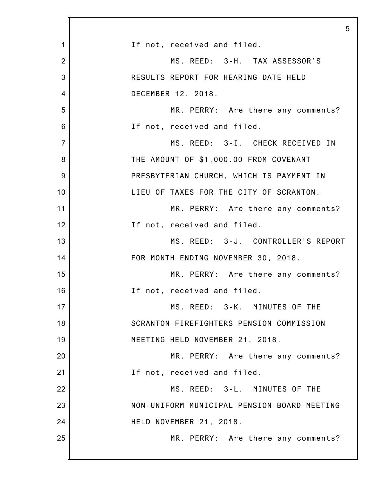|                | 5                                           |
|----------------|---------------------------------------------|
| 1              | If not, received and filed.                 |
| $\overline{2}$ | MS. REED: 3-H. TAX ASSESSOR'S               |
| 3              | RESULTS REPORT FOR HEARING DATE HELD        |
| 4              | DECEMBER 12, 2018.                          |
| 5              | MR. PERRY: Are there any comments?          |
| 6              | If not, received and filed.                 |
| $\overline{7}$ | MS. REED: 3-I. CHECK RECEIVED IN            |
| 8              | THE AMOUNT OF \$1,000.00 FROM COVENANT      |
| 9              | PRESBYTERIAN CHURCH, WHICH IS PAYMENT IN    |
| 10             | LIEU OF TAXES FOR THE CITY OF SCRANTON.     |
| 11             | MR. PERRY: Are there any comments?          |
| 12             | If not, received and filed.                 |
| 13             | MS. REED: 3-J. CONTROLLER'S REPORT          |
| 14             | FOR MONTH ENDING NOVEMBER 30, 2018.         |
| 15             | MR. PERRY: Are there any comments?          |
| 16             | If not, received and filed.                 |
| 17             | MS. REED: 3-K. MINUTES OF THE               |
| 18             | SCRANTON FIREFIGHTERS PENSION COMMISSION    |
| 19             | MEETING HELD NOVEMBER 21, 2018.             |
| 20             | MR. PERRY: Are there any comments?          |
| 21             | If not, received and filed.                 |
| 22             | MS. REED: 3-L. MINUTES OF THE               |
| 23             | NON-UNIFORM MUNICIPAL PENSION BOARD MEETING |
| 24             | HELD NOVEMBER 21, 2018.                     |
| 25             | MR. PERRY: Are there any comments?          |
|                |                                             |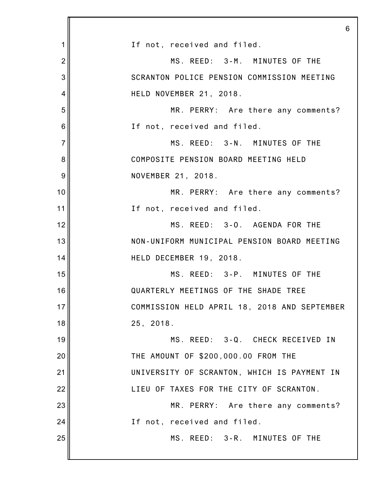|                | 6                                            |
|----------------|----------------------------------------------|
| 1              | If not, received and filed.                  |
| $\overline{2}$ | MS. REED: 3-M. MINUTES OF THE                |
| 3              | SCRANTON POLICE PENSION COMMISSION MEETING   |
| $\overline{4}$ | HELD NOVEMBER 21, 2018.                      |
| 5              | MR. PERRY: Are there any comments?           |
| 6              | If not, received and filed.                  |
| $\overline{7}$ | MS. REED: 3-N. MINUTES OF THE                |
| 8              | COMPOSITE PENSION BOARD MEETING HELD         |
| 9              | NOVEMBER 21, 2018.                           |
| 10             | MR. PERRY: Are there any comments?           |
| 11             | If not, received and filed.                  |
| 12             | MS. REED: 3-0. AGENDA FOR THE                |
| 13             | NON-UNIFORM MUNICIPAL PENSION BOARD MEETING  |
| 14             | HELD DECEMBER 19, 2018.                      |
| 15             | MS. REED: 3-P. MINUTES OF THE                |
| 16             | QUARTERLY MEETINGS OF THE SHADE TREE         |
| 17             | COMMISSION HELD APRIL 18, 2018 AND SEPTEMBER |
| 18             | 25, 2018.                                    |
| 19             | MS. REED: 3-Q. CHECK RECEIVED IN             |
| 20             | THE AMOUNT OF \$200,000.00 FROM THE          |
| 21             | UNIVERSITY OF SCRANTON, WHICH IS PAYMENT IN  |
| 22             | LIEU OF TAXES FOR THE CITY OF SCRANTON.      |
| 23             | MR. PERRY: Are there any comments?           |
| 24             | If not, received and filed.                  |
| 25             | MS. REED: 3-R. MINUTES OF THE                |
|                |                                              |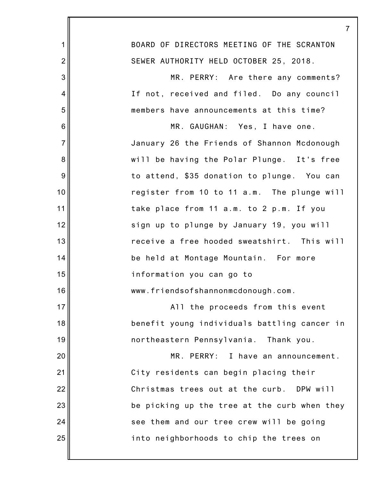|                | 7                                            |
|----------------|----------------------------------------------|
| 1              | BOARD OF DIRECTORS MEETING OF THE SCRANTON   |
| $\overline{2}$ | SEWER AUTHORITY HELD OCTOBER 25, 2018.       |
| 3              | MR. PERRY: Are there any comments?           |
| 4              | If not, received and filed. Do any council   |
| 5              | members have announcements at this time?     |
| 6              | MR. GAUGHAN: Yes, I have one.                |
| $\overline{7}$ | January 26 the Friends of Shannon Mcdonough  |
| 8              | will be having the Polar Plunge. It's free   |
| 9              | to attend, \$35 donation to plunge. You can  |
| 10             | register from 10 to 11 a.m. The plunge will  |
| 11             | take place from 11 a.m. to 2 p.m. If you     |
| 12             | sign up to plunge by January 19, you will    |
| 13             | receive a free hooded sweatshirt. This will  |
| 14             | be held at Montage Mountain. For more        |
| 15             | information you can go to                    |
| 16             | www.friendsofshannonmcdonough.com.           |
| 17             | All the proceeds from this event             |
| 18             | benefit young individuals battling cancer in |
| 19             | northeastern Pennsylvania. Thank you.        |
| 20             | MR. PERRY: I have an announcement.           |
| 21             | City residents can begin placing their       |
| 22             | Christmas trees out at the curb. DPW will    |
| 23             | be picking up the tree at the curb when they |
| 24             | see them and our tree crew will be going     |
| 25             | into neighborhoods to chip the trees on      |
|                |                                              |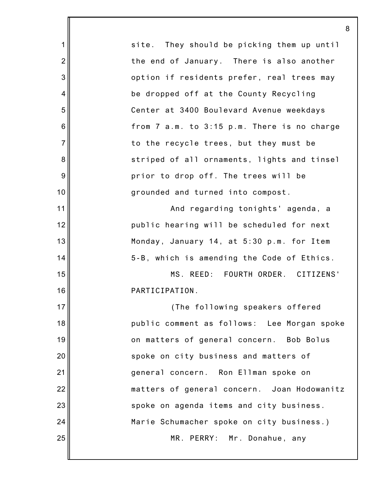|                | 8                                             |
|----------------|-----------------------------------------------|
| 1              | They should be picking them up until<br>site. |
| $\overline{2}$ | the end of January. There is also another     |
| 3              | option if residents prefer, real trees may    |
| $\overline{4}$ | be dropped off at the County Recycling        |
| 5              | Center at 3400 Boulevard Avenue weekdays      |
| 6              | from 7 a.m. to 3:15 p.m. There is no charge   |
| $\overline{7}$ | to the recycle trees, but they must be        |
| 8              | striped of all ornaments, lights and tinsel   |
| 9              | prior to drop off. The trees will be          |
| 10             | grounded and turned into compost.             |
| 11             | And regarding tonights' agenda, a             |
| 12             | public hearing will be scheduled for next     |
| 13             | Monday, January 14, at 5:30 p.m. for Item     |
| 14             | 5-B, which is amending the Code of Ethics.    |
| 15             | MS. REED: FOURTH ORDER. CITIZENS'             |
| 16             | PARTICIPATION.                                |
| 17             | (The following speakers offered               |
| 18             | public comment as follows: Lee Morgan spoke   |
| 19             | on matters of general concern. Bob Bolus      |
| 20             | spoke on city business and matters of         |
| 21             | general concern. Ron Ellman spoke on          |
| 22             | matters of general concern. Joan Hodowanitz   |
| 23             | spoke on agenda items and city business.      |
| 24             | Marie Schumacher spoke on city business.)     |
| 25             | MR. PERRY: Mr. Donahue, any                   |
|                |                                               |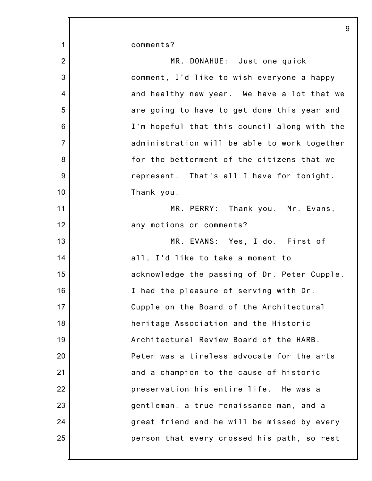| 1               | comments?                                    |
|-----------------|----------------------------------------------|
| $\overline{2}$  | MR. DONAHUE: Just one quick                  |
| 3               | comment, I'd like to wish everyone a happy   |
| 4               | and healthy new year. We have a lot that we  |
| 5               | are going to have to get done this year and  |
| $6\phantom{1}6$ | I'm hopeful that this council along with the |
| $\overline{7}$  | administration will be able to work together |
| 8               | for the betterment of the citizens that we   |
| 9               | represent. That's all I have for tonight.    |
| 10              | Thank you.                                   |
| 11              | MR. PERRY: Thank you. Mr. Evans,             |
| 12              | any motions or comments?                     |
| 13              | MR. EVANS: Yes, I do. First of               |
| 14              | all, I'd like to take a moment to            |
| 15              | acknowledge the passing of Dr. Peter Cupple. |
| 16              | I had the pleasure of serving with Dr.       |
| 17              | Cupple on the Board of the Architectural     |
| 18              | heritage Association and the Historic        |
| 19              | Architectural Review Board of the HARB.      |
| 20              | Peter was a tireless advocate for the arts   |
| 21              | and a champion to the cause of historic      |
| 22              | preservation his entire life. He was a       |
| 23              | gentleman, a true renaissance man, and a     |
| 24              | great friend and he will be missed by every  |
| 25              | person that every crossed his path, so rest  |
|                 |                                              |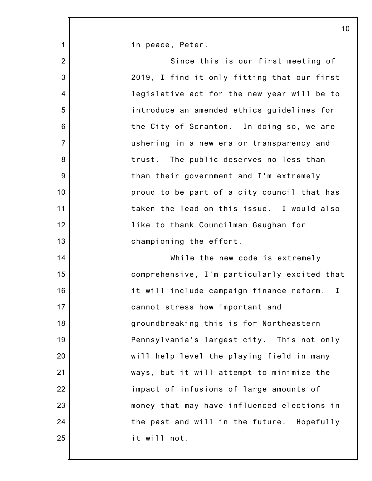in peace, Peter.

1

2 3 4 5 6 7 8 9 10 11 12 13 14 15 16 17 18 19 20 21 22 23 24 25 Since this is our first meeting of 2019, I find it only fitting that our first legislative act for the new year will be to introduce an amended ethics guidelines for the City of Scranton. In doing so, we are ushering in a new era or transparency and trust. The public deserves no less than than their government and I'm extremely proud to be part of a city council that has taken the lead on this issue. I would also like to thank Councilman Gaughan for championing the effort. While the new code is extremely comprehensive, I'm particularly excited that it will include campaign finance reform. I cannot stress how important and groundbreaking this is for Northeastern Pennsylvania's largest city. This not only will help level the playing field in many ways, but it will attempt to minimize the impact of infusions of large amounts of money that may have influenced elections in the past and will in the future. Hopefully it will not.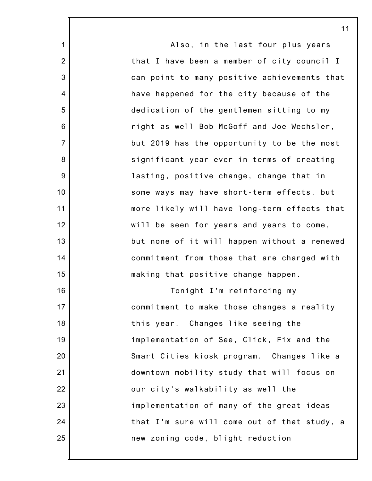1 2 3 4 5 6 7 8 9 10 11 12 13 14 15 16 17 18 19 20 21 22 23 24 25 Also, in the last four plus years that I have been a member of city council I can point to many positive achievements that have happened for the city because of the dedication of the gentlemen sitting to my right as well Bob McGoff and Joe Wechsler, but 2019 has the opportunity to be the most significant year ever in terms of creating lasting, positive change, change that in some ways may have short-term effects, but more likely will have long-term effects that will be seen for years and years to come, but none of it will happen without a renewed commitment from those that are charged with making that positive change happen. Tonight I'm reinforcing my commitment to make those changes a reality this year. Changes like seeing the implementation of See, Click, Fix and the Smart Cities kiosk program. Changes like a downtown mobility study that will focus on our city's walkability as well the implementation of many of the great ideas that I'm sure will come out of that study, a new zoning code, blight reduction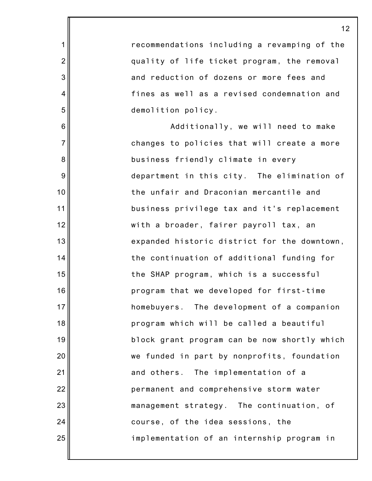recommendations including a revamping of the quality of life ticket program, the removal and reduction of dozens or more fees and fines as well as a revised condemnation and demolition policy. Additionally, we will need to make changes to policies that will create a more business friendly climate in every department in this city. The elimination of the unfair and Draconian mercantile and business privilege tax and it's replacement with a broader, fairer payroll tax, an expanded historic district for the downtown, the continuation of additional funding for the SHAP program, which is a successful program that we developed for first-time homebuyers. The development of a companion program which will be called a beautiful block grant program can be now shortly which we funded in part by nonprofits, foundation and others. The implementation of a permanent and comprehensive storm water management strategy. The continuation, of course, of the idea sessions, the implementation of an internship program in

1

2

3

4

5

6

7

8

9

10

11

12

13

14

15

16

17

18

19

20

21

22

23

24

25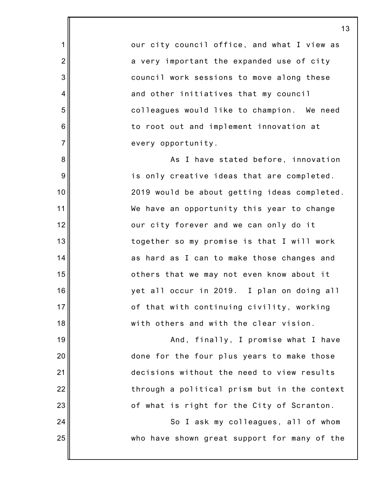our city council office, and what I view as a very important the expanded use of city council work sessions to move along these and other initiatives that my council colleagues would like to champion. We need to root out and implement innovation at every opportunity.

1

2

3

4

5

6

7

8

9

10

11

12

13

14

15

16

17

18

19

20

21

22

23

24

25

As I have stated before, innovation is only creative ideas that are completed. 2019 would be about getting ideas completed. We have an opportunity this year to change our city forever and we can only do it together so my promise is that I will work as hard as I can to make those changes and others that we may not even know about it yet all occur in 2019. I plan on doing all of that with continuing civility, working with others and with the clear vision.

And, finally, I promise what I have done for the four plus years to make those decisions without the need to view results through a political prism but in the context of what is right for the City of Scranton.

So I ask my colleagues, all of whom who have shown great support for many of the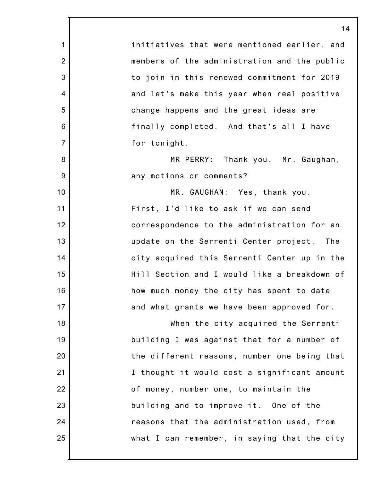1 2 3 4 5 6 7 8 9 10 11 12 13 14 15 16 17 18 19 20 21 22 23 24 25 14 initiatives that were mentioned earlier, and members of the administration and the public to join in this renewed commitment for 2019 and let's make this year when real positive change happens and the great ideas are finally completed. And that's all I have for tonight. MR PERRY: Thank you. Mr. Gaughan, any motions or comments? MR. GAUGHAN: Yes, thank you. First, I'd like to ask if we can send correspondence to the administration for an update on the Serrenti Center project. The city acquired this Serrenti Center up in the Hill Section and I would like a breakdown of how much money the city has spent to date and what grants we have been approved for. When the city acquired the Serrenti building I was against that for a number of the different reasons, number one being that I thought it would cost a significant amount of money, number one, to maintain the building and to improve it. One of the reasons that the administration used, from what I can remember, in saying that the city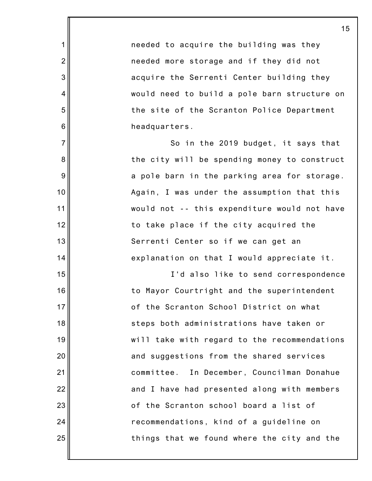needed to acquire the building was they needed more storage and if they did not acquire the Serrenti Center building they would need to build a pole barn structure on the site of the Scranton Police Department headquarters.

1

2

3

4

5

6

7

8

9

10

11

12

13

14

15

16

17

18

19

20

21

22

23

24

25

So in the 2019 budget, it says that the city will be spending money to construct a pole barn in the parking area for storage. Again, I was under the assumption that this would not -- this expenditure would not have to take place if the city acquired the Serrenti Center so if we can get an explanation on that I would appreciate it.

I'd also like to send correspondence to Mayor Courtright and the superintendent of the Scranton School District on what steps both administrations have taken or will take with regard to the recommendations and suggestions from the shared services committee. In December, Councilman Donahue and I have had presented along with members of the Scranton school board a list of recommendations, kind of a guideline on things that we found where the city and the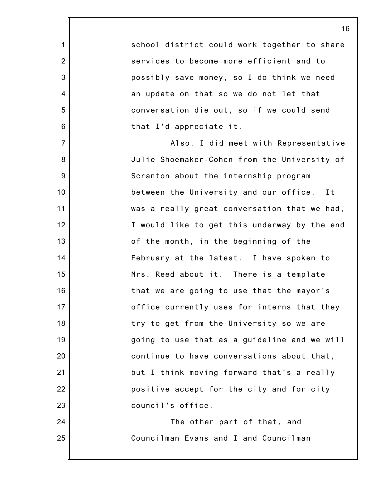school district could work together to share services to become more efficient and to possibly save money, so I do think we need an update on that so we do not let that conversation die out, so if we could send that I'd appreciate it.

1

2

3

4

5

6

7

8

9

10

11

12

13

14

15

16

17

18

19

20

21

22

23

24

25

Also, I did meet with Representative Julie Shoemaker-Cohen from the University of Scranton about the internship program between the University and our office. It was a really great conversation that we had, I would like to get this underway by the end of the month, in the beginning of the February at the latest. I have spoken to Mrs. Reed about it. There is a template that we are going to use that the mayor's office currently uses for interns that they try to get from the University so we are going to use that as a guideline and we will continue to have conversations about that, but I think moving forward that's a really positive accept for the city and for city council's office.

> The other part of that, and Councilman Evans and I and Councilman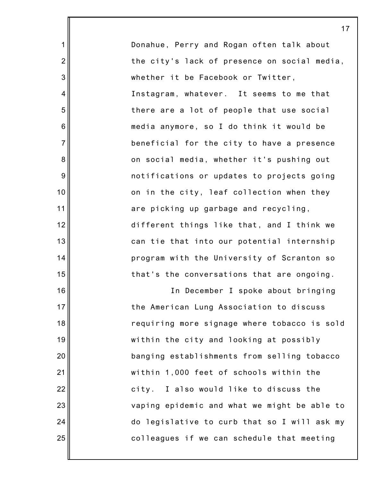Donahue, Perry and Rogan often talk about the city's lack of presence on social media, whether it be Facebook or Twitter, Instagram, whatever. It seems to me that there are a lot of people that use social media anymore, so I do think it would be beneficial for the city to have a presence on social media, whether it's pushing out notifications or updates to projects going on in the city, leaf collection when they are picking up garbage and recycling, different things like that, and I think we can tie that into our potential internship program with the University of Scranton so that's the conversations that are ongoing.

1

2

3

4

5

6

7

8

9

10

11

12

13

14

15

16

17

18

19

20

21

22

23

24

25

In December I spoke about bringing the American Lung Association to discuss requiring more signage where tobacco is sold within the city and looking at possibly banging establishments from selling tobacco within 1,000 feet of schools within the city. I also would like to discuss the vaping epidemic and what we might be able to do legislative to curb that so I will ask my colleagues if we can schedule that meeting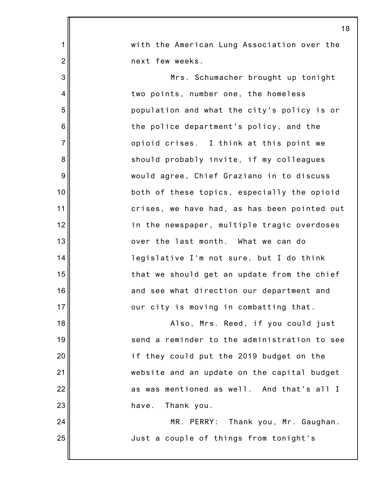|                | 18                                           |
|----------------|----------------------------------------------|
| 1              | with the American Lung Association over the  |
| $\overline{2}$ | next few weeks.                              |
| 3              | Mrs. Schumacher brought up tonight           |
| 4              | two points, number one, the homeless         |
| 5              | population and what the city's policy is or  |
| 6              | the police department's policy, and the      |
| $\overline{7}$ | opioid crises. I think at this point we      |
| 8              | should probably invite, if my colleagues     |
| $9\,$          | would agree, Chief Graziano in to discuss    |
| 10             | both of these topics, especially the opioid  |
| 11             | crises, we have had, as has been pointed out |
| 12             | in the newspaper, multiple tragic overdoses  |
| 13             | over the last month. What we can do          |
| 14             | legislative I'm not sure, but I do think     |
| 15             | that we should get an update from the chief  |
| 16             | and see what direction our department and    |
| 17             | our city is moving in combatting that.       |
| 18             | Also, Mrs. Reed, if you could just           |
| 19             | send a reminder to the administration to see |
| 20             | if they could put the 2019 budget on the     |
| 21             | website and an update on the capital budget  |
| 22             | as was mentioned as well. And that's all I   |
| 23             | Thank you.<br>have.                          |
| 24             | MR. PERRY: Thank you, Mr. Gaughan.           |
| 25             | Just a couple of things from tonight's       |
|                |                                              |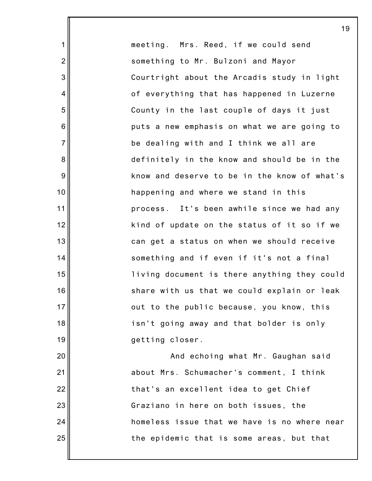meeting. Mrs. Reed, if we could send something to Mr. Bulzoni and Mayor Courtright about the Arcadis study in light of everything that has happened in Luzerne County in the last couple of days it just puts a new emphasis on what we are going to be dealing with and I think we all are definitely in the know and should be in the know and deserve to be in the know of what's happening and where we stand in this process. It's been awhile since we had any kind of update on the status of it so if we can get a status on when we should receive something and if even if it's not a final living document is there anything they could share with us that we could explain or leak out to the public because, you know, this isn't going away and that bolder is only getting closer. And echoing what Mr. Gaughan said about Mrs. Schumacher's comment, I think

1

2

3

4

5

6

7

8

9

10

11

12

13

14

15

16

17

18

19

20

21

22

23

24

25

that's an excellent idea to get Chief Graziano in here on both issues, the homeless issue that we have is no where near the epidemic that is some areas, but that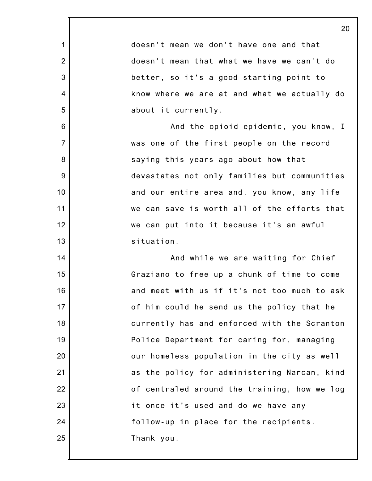|                | 20                                           |
|----------------|----------------------------------------------|
| 1              | doesn't mean we don't have one and that      |
| $\overline{2}$ | doesn't mean that what we have we can't do   |
| 3              | better, so it's a good starting point to     |
| 4              | know where we are at and what we actually do |
| 5              | about it currently.                          |
| 6              | And the opioid epidemic, you know, I         |
| $\overline{7}$ | was one of the first people on the record    |
| 8              | saying this years ago about how that         |
| 9              | devastates not only families but communities |
| 10             | and our entire area and, you know, any life  |
| 11             | we can save is worth all of the efforts that |
| 12             | we can put into it because it's an awful     |
| 13             | situation.                                   |
| 14             | And while we are waiting for Chief           |
| 15             | Graziano to free up a chunk of time to come  |
| 16             | and meet with us if it's not too much to ask |
| 17             | of him could he send us the policy that he   |
| 18             | currently has and enforced with the Scranton |
| 19             | Police Department for caring for, managing   |
| 20             | our homeless population in the city as well  |
| 21             | as the policy for administering Narcan, kind |
| 22             | of centraled around the training, how we log |
| 23             | it once it's used and do we have any         |
| 24             | follow-up in place for the recipients.       |
| 25             | Thank you.                                   |
|                |                                              |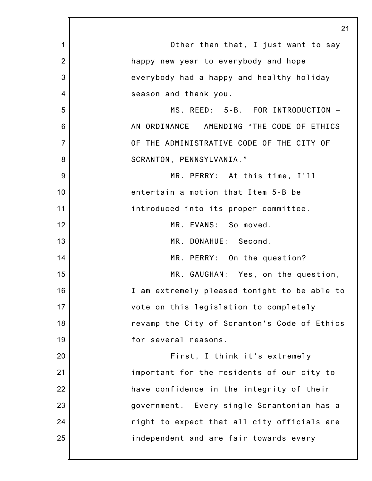|                | 21                                           |
|----------------|----------------------------------------------|
| 1              | Other than that, I just want to say          |
| $\overline{2}$ | happy new year to everybody and hope         |
| 3              | everybody had a happy and healthy holiday    |
| 4              | season and thank you.                        |
| 5              | MS. REED: 5-B. FOR INTRODUCTION -            |
| 6              | AN ORDINANCE - AMENDING "THE CODE OF ETHICS  |
| $\overline{7}$ | OF THE ADMINISTRATIVE CODE OF THE CITY OF    |
| 8              | SCRANTON, PENNSYLVANIA."                     |
| 9              | MR. PERRY: At this time, I'll                |
| 10             | entertain a motion that Item 5-B be          |
| 11             | introduced into its proper committee.        |
| 12             | MR. EVANS: So moved.                         |
| 13             | MR. DONAHUE: Second.                         |
| 14             | MR. PERRY: On the question?                  |
| 15             | MR. GAUGHAN: Yes, on the question,           |
| 16             | I am extremely pleased tonight to be able to |
| 17             | vote on this legislation to completely       |
| 18             | revamp the City of Scranton's Code of Ethics |
| 19             | for several reasons.                         |
| 20             | First, I think it's extremely                |
| 21             | important for the residents of our city to   |
| 22             | have confidence in the integrity of their    |
| 23             | government. Every single Scrantonian has a   |
| 24             | right to expect that all city officials are  |
| 25             | independent and are fair towards every       |
|                |                                              |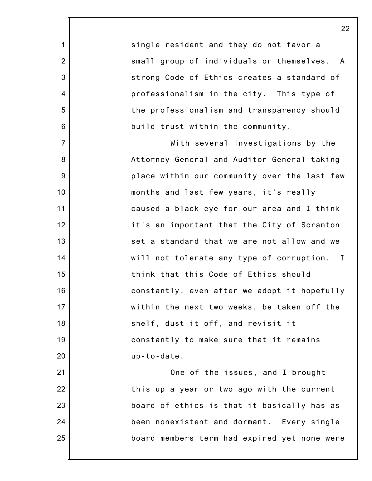single resident and they do not favor a small group of individuals or themselves. A strong Code of Ethics creates a standard of professionalism in the city. This type of the professionalism and transparency should build trust within the community.

1

2

3

4

5

6

7

8

9

10

11

12

13

14

15

16

17

18

19

20

21

22

23

24

25

With several investigations by the Attorney General and Auditor General taking place within our community over the last few months and last few years, it's really caused a black eye for our area and I think it's an important that the City of Scranton set a standard that we are not allow and we will not tolerate any type of corruption. I think that this Code of Ethics should constantly, even after we adopt it hopefully within the next two weeks, be taken off the shelf, dust it off, and revisit it constantly to make sure that it remains up-to-date.

One of the issues, and I brought this up a year or two ago with the current board of ethics is that it basically has as been nonexistent and dormant. Every single board members term had expired yet none were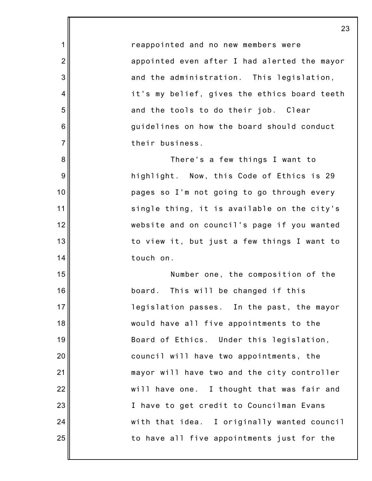reappointed and no new members were appointed even after I had alerted the mayor and the administration. This legislation, it's my belief, gives the ethics board teeth and the tools to do their job. Clear guidelines on how the board should conduct their business.

1

2

3

4

5

6

7

8

9

10

11

12

13

14

15

16

17

18

19

20

21

22

23

24

25

There's a few things I want to highlight. Now, this Code of Ethics is 29 pages so I'm not going to go through every single thing, it is available on the city's website and on council's page if you wanted to view it, but just a few things I want to touch on.

Number one, the composition of the board. This will be changed if this legislation passes. In the past, the mayor would have all five appointments to the Board of Ethics. Under this legislation, council will have two appointments, the mayor will have two and the city controller will have one. I thought that was fair and I have to get credit to Councilman Evans with that idea. I originally wanted council to have all five appointments just for the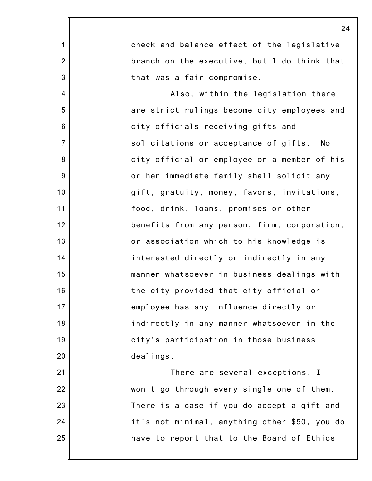|                 | 24                                            |
|-----------------|-----------------------------------------------|
| 1               | check and balance effect of the legislative   |
| $\overline{2}$  | branch on the executive, but I do think that  |
| 3               | that was a fair compromise.                   |
| $\overline{4}$  | Also, within the legislation there            |
| 5               | are strict rulings become city employees and  |
| $6\phantom{1}6$ | city officials receiving gifts and            |
| $\overline{7}$  | solicitations or acceptance of gifts.<br>No   |
| 8               | city official or employee or a member of his  |
| 9               | or her immediate family shall solicit any     |
| 10              | gift, gratuity, money, favors, invitations,   |
| 11              | food, drink, loans, promises or other         |
| 12              | benefits from any person, firm, corporation,  |
| 13              | or association which to his knowledge is      |
| 14              | interested directly or indirectly in any      |
| 15              | manner whatsoever in business dealings with   |
| 16              | the city provided that city official or       |
| 17              | employee has any influence directly or        |
| 18              | indirectly in any manner whatsoever in the    |
| 19              | city's participation in those business        |
| 20              | dealings.                                     |
| 21              | There are several exceptions, I               |
| 22              | won't go through every single one of them.    |
| 23              | There is a case if you do accept a gift and   |
| 24              | it's not minimal, anything other \$50, you do |
| 25              | have to report that to the Board of Ethics    |
|                 |                                               |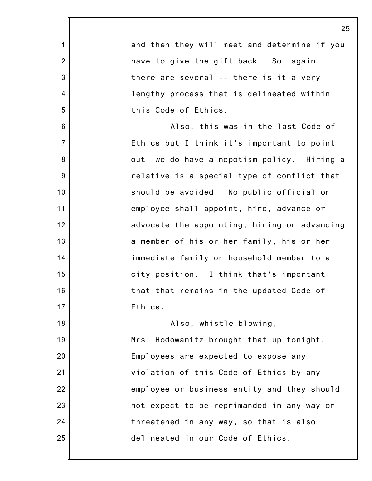1 2 3 4 5 6 7 8 9 10 11 12 13 14 15 16 17 18 19 20 21 22 23 24 25 25 and then they will meet and determine if you have to give the gift back. So, again, there are several -- there is it a very lengthy process that is delineated within this Code of Ethics. Also, this was in the last Code of Ethics but I think it's important to point out, we do have a nepotism policy. Hiring a relative is a special type of conflict that should be avoided. No public official or employee shall appoint, hire, advance or advocate the appointing, hiring or advancing a member of his or her family, his or her immediate family or household member to a city position. I think that's important that that remains in the updated Code of Ethics. Also, whistle blowing, Mrs. Hodowanitz brought that up tonight. Employees are expected to expose any violation of this Code of Ethics by any employee or business entity and they should not expect to be reprimanded in any way or threatened in any way, so that is also delineated in our Code of Ethics.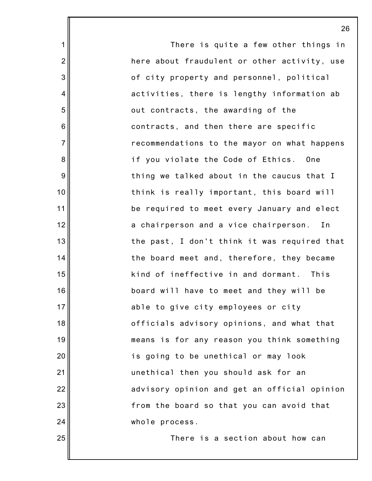There is quite a few other things in here about fraudulent or other activity, use of city property and personnel, political activities, there is lengthy information ab out contracts, the awarding of the contracts, and then there are specific recommendations to the mayor on what happens if you violate the Code of Ethics. One thing we talked about in the caucus that I think is really important, this board will be required to meet every January and elect a chairperson and a vice chairperson. In the past, I don't think it was required that the board meet and, therefore, they became kind of ineffective in and dormant. This board will have to meet and they will be able to give city employees or city officials advisory opinions, and what that means is for any reason you think something is going to be unethical or may look unethical then you should ask for an advisory opinion and get an official opinion from the board so that you can avoid that whole process.

1

2

3

4

5

6

7

8

9

10

11

12

13

14

15

16

17

18

19

20

21

22

23

24

25

There is a section about how can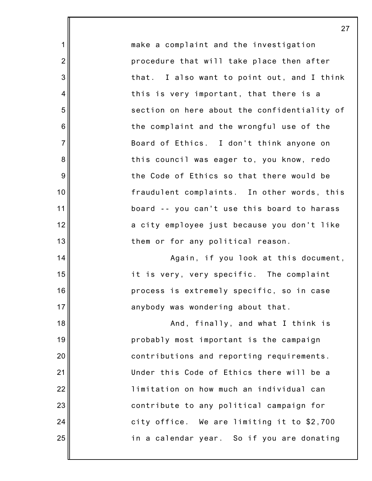make a complaint and the investigation procedure that will take place then after that. I also want to point out, and I think this is very important, that there is a section on here about the confidentiality of the complaint and the wrongful use of the Board of Ethics. I don't think anyone on this council was eager to, you know, redo the Code of Ethics so that there would be fraudulent complaints. In other words, this board -- you can't use this board to harass a city employee just because you don't like them or for any political reason.

1

2

3

4

5

6

7

8

9

10

11

12

13

14

15

16

17

18

19

20

21

22

23

24

25

Again, if you look at this document, it is very, very specific. The complaint process is extremely specific, so in case anybody was wondering about that.

And, finally, and what I think is probably most important is the campaign contributions and reporting requirements. Under this Code of Ethics there will be a limitation on how much an individual can contribute to any political campaign for city office. We are limiting it to \$2,700 in a calendar year. So if you are donating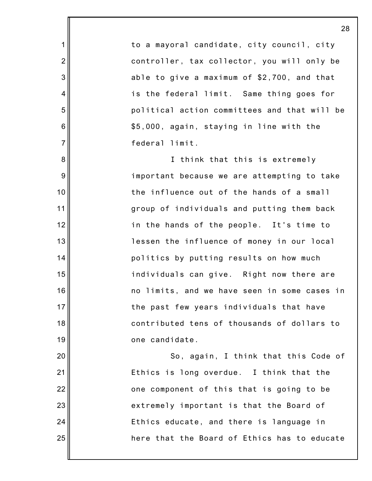to a mayoral candidate, city council, city controller, tax collector, you will only be able to give a maximum of \$2,700, and that is the federal limit. Same thing goes for political action committees and that will be \$5,000, again, staying in line with the federal limit.

1

2

3

4

5

6

7

8

9

10

11

12

13

14

15

16

17

18

19

20

21

22

23

24

25

I think that this is extremely important because we are attempting to take the influence out of the hands of a small group of individuals and putting them back in the hands of the people. It's time to lessen the influence of money in our local politics by putting results on how much individuals can give. Right now there are no limits, and we have seen in some cases in the past few years individuals that have contributed tens of thousands of dollars to one candidate.

So, again, I think that this Code of Ethics is long overdue. I think that the one component of this that is going to be extremely important is that the Board of Ethics educate, and there is language in here that the Board of Ethics has to educate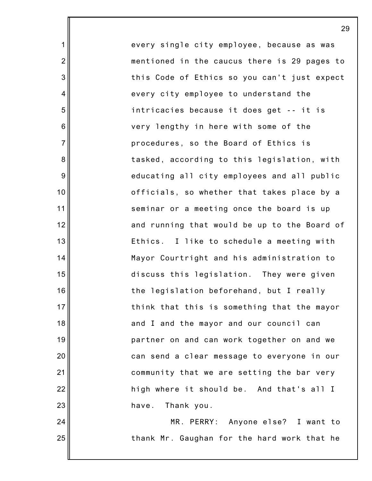every single city employee, because as was mentioned in the caucus there is 29 pages to this Code of Ethics so you can't just expect every city employee to understand the intricacies because it does get -- it is very lengthy in here with some of the procedures, so the Board of Ethics is tasked, according to this legislation, with educating all city employees and all public officials, so whether that takes place by a seminar or a meeting once the board is up and running that would be up to the Board of Ethics. I like to schedule a meeting with Mayor Courtright and his administration to discuss this legislation. They were given the legislation beforehand, but I really think that this is something that the mayor and I and the mayor and our council can partner on and can work together on and we can send a clear message to everyone in our community that we are setting the bar very high where it should be. And that's all I have. Thank you.

1

2

3

4

5

6

7

8

9

10

11

12

13

14

15

16

17

18

19

20

21

22

23

24

25

MR. PERRY: Anyone else? I want to thank Mr. Gaughan for the hard work that he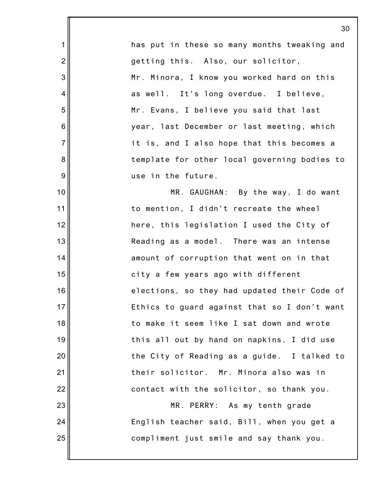|                | 3 <sub>0</sub>                               |
|----------------|----------------------------------------------|
| 1              | has put in these so many months tweaking and |
| $\overline{2}$ | getting this. Also, our solicitor,           |
| 3              | Mr. Minora, I know you worked hard on this   |
| 4              | as well. It's long overdue. I believe,       |
| 5              | Mr. Evans, I believe you said that last      |
| 6              | year, last December or last meeting, which   |
| $\overline{7}$ | it is, and I also hope that this becomes a   |
| 8              | template for other local governing bodies to |
| 9              | use in the future.                           |
| 10             | MR. GAUGHAN: By the way, I do want           |
| 11             | to mention, I didn't recreate the wheel      |
| 12             | here, this legislation I used the City of    |
| 13             | Reading as a model. There was an intense     |
| 14             | amount of corruption that went on in that    |
| 15             | city a few years ago with different          |
| 16             | elections, so they had updated their Code of |
| 17             | Ethics to guard against that so I don't want |
| 18             | to make it seem like I sat down and wrote    |
| 19             | this all out by hand on napkins, I did use   |
| 20             | the City of Reading as a guide. I talked to  |
| 21             | their solicitor. Mr. Minora also was in      |
| 22             | contact with the solicitor, so thank you.    |
| 23             | MR. PERRY: As my tenth grade                 |
| 24             | English teacher said, Bill, when you get a   |
| 25             | compliment just smile and say thank you.     |
|                |                                              |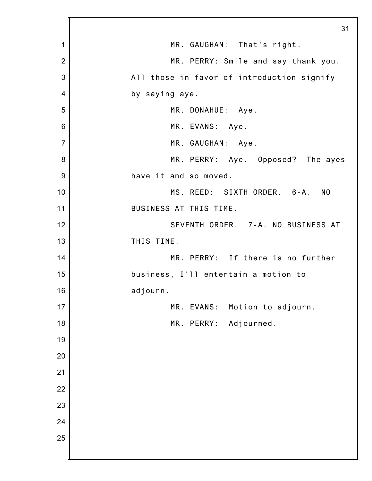|                 | 31                                         |
|-----------------|--------------------------------------------|
| 1               | MR. GAUGHAN: That's right.                 |
| $\overline{2}$  | MR. PERRY: Smile and say thank you.        |
| 3               | All those in favor of introduction signify |
| 4               | by saying aye.                             |
| 5               | MR. DONAHUE: Aye.                          |
| $6\phantom{1}6$ | MR. EVANS: Aye.                            |
| $\overline{7}$  | MR. GAUGHAN: Aye.                          |
| 8               | MR. PERRY: Aye. Opposed? The ayes          |
| 9               | have it and so moved.                      |
| 10              | MS. REED: SIXTH ORDER. 6-A. NO             |
| 11              | BUSINESS AT THIS TIME.                     |
| 12              | SEVENTH ORDER. 7-A. NO BUSINESS AT         |
| 13              | THIS TIME.                                 |
| 14              | MR. PERRY: If there is no further          |
| 15              | business, I'll entertain a motion to       |
| 16              | adjourn.                                   |
| 17              | Motion to adjourn.<br>MR. EVANS:           |
| 18              | MR. PERRY:<br>Adjourned.                   |
| 19              |                                            |
| 20              |                                            |
| 21              |                                            |
| 22              |                                            |
| 23              |                                            |
| 24              |                                            |
| 25              |                                            |
|                 |                                            |